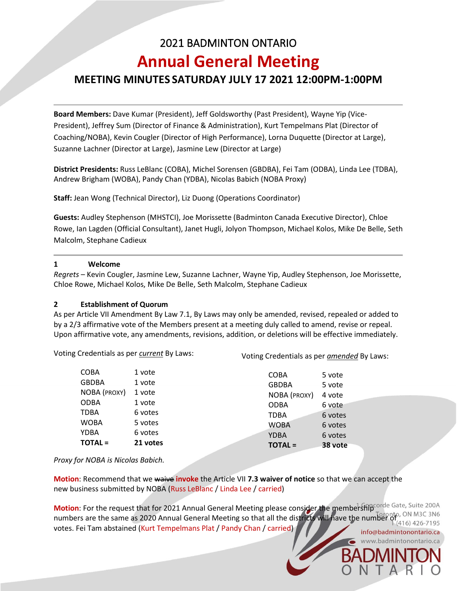# 2021 BADMINTON ONTARIO **Annual General Meeting**

# **MEETING MINUTES SATURDAY JULY 17 2021 12:00PM-1:00PM**

**Board Members:** Dave Kumar (President), Jeff Goldsworthy (Past President), Wayne Yip (Vice-President), Jeffrey Sum (Director of Finance & Administration), Kurt Tempelmans Plat (Director of Coaching/NOBA), Kevin Cougler (Director of High Performance), Lorna Duquette (Director at Large), Suzanne Lachner (Director at Large), Jasmine Lew (Director at Large)

**District Presidents:** Russ LeBlanc (COBA), Michel Sorensen (GBDBA), Fei Tam (ODBA), Linda Lee (TDBA), Andrew Brigham (WOBA), Pandy Chan (YDBA), Nicolas Babich (NOBA Proxy)

**Staff:** Jean Wong (Technical Director), Liz Duong (Operations Coordinator)

**Guests:** Audley Stephenson (MHSTCI), Joe Morissette (Badminton Canada Executive Director), Chloe Rowe, Ian Lagden (Official Consultant), Janet Hugli, Jolyon Thompson, Michael Kolos, Mike De Belle, Seth Malcolm, Stephane Cadieux

#### **1 Welcome**

*Regrets* – Kevin Cougler, Jasmine Lew, Suzanne Lachner, Wayne Yip, Audley Stephenson, Joe Morissette, Chloe Rowe, Michael Kolos, Mike De Belle, Seth Malcolm, Stephane Cadieux

## **2 Establishment of Quorum**

As per Article VII Amendment By Law 7.1, By Laws may only be amended, revised, repealed or added to by a 2/3 affirmative vote of the Members present at a meeting duly called to amend, revise or repeal. Upon affirmative vote, any amendments, revisions, addition, or deletions will be effective immediately.

Voting Credentials as per *current* By Laws:

Voting Credentials as per *amended* By Laws:

| <b>TOTAL =</b> | 21 votes | <b>TOTAL =</b> | 38 vote |
|----------------|----------|----------------|---------|
| YDBA           | 6 votes  | <b>YDBA</b>    | 6 votes |
| WOBA           | 5 votes  | <b>WOBA</b>    | 6 votes |
| TDBA           | 6 votes  | <b>TDBA</b>    | 6 votes |
| ODBA           | 1 vote   | <b>ODBA</b>    | 6 vote  |
| NOBA (PROXY)   | 1 vote   | NOBA (PROXY)   | 4 vote  |
| GBDBA          | 1 vote   | <b>GBDBA</b>   | 5 vote  |
| COBA           | 1 vote   | <b>COBA</b>    | 5 vote  |
|                |          |                |         |

#### *Proxy for NOBA is Nicolas Babich.*

**Motion**: Recommend that we waive **invoke** the Article VII **7.3 waiver of notice** so that we can accept the new business submitted by NOBA (Russ LeBlanc / Linda Lee / carried)

**Motion:** For the request that for 2021 Annual General Meeting please consider the membership Theorie Gate, Suite 200A numbers are the same as 2020 Annual General Meeting so that all the districts will have the number of (416) 426-7195 votes. Fei Tam abstained (Kurt Tempelmans Plat / Pandy Chan / carried)info@badmintonontario.ca

www.badmintonontario.ca